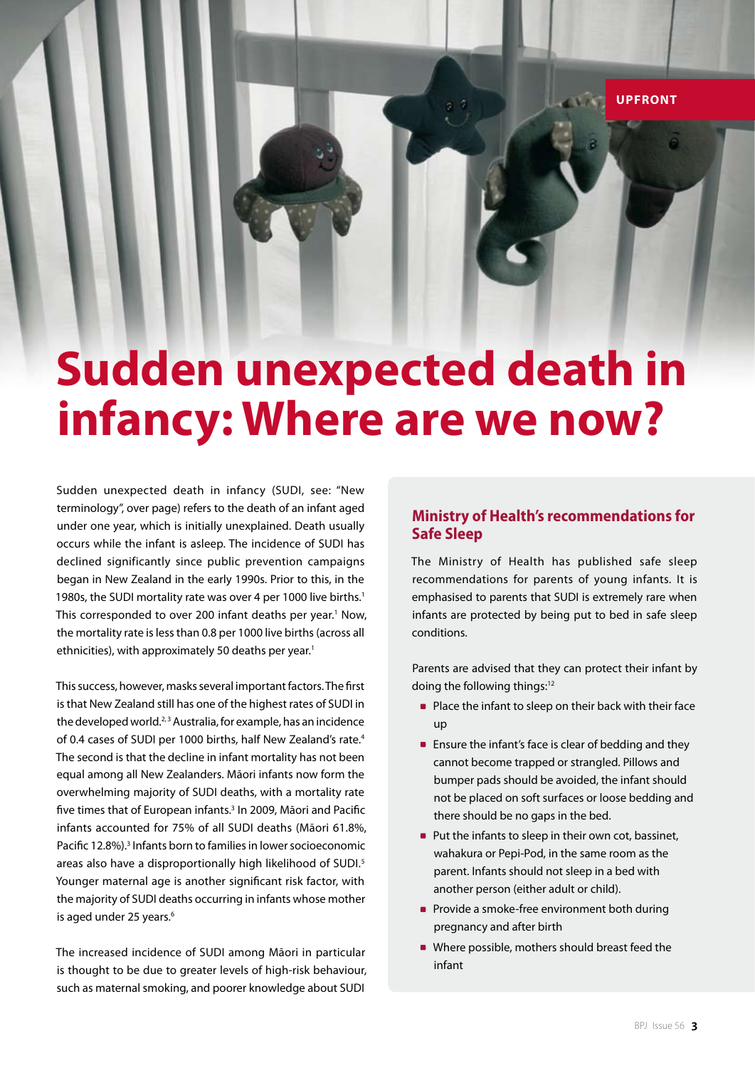# **Sudden unexpected death in infancy: Where are we now?**

Sudden unexpected death in infancy (SUDI, see: "New terminology", over page) refers to the death of an infant aged under one year, which is initially unexplained. Death usually occurs while the infant is asleep. The incidence of SUDI has declined significantly since public prevention campaigns began in New Zealand in the early 1990s. Prior to this, in the 1980s, the SUDI mortality rate was over 4 per 1000 live births.<sup>1</sup> This corresponded to over 200 infant deaths per year.<sup>1</sup> Now, the mortality rate is less than 0.8 per 1000 live births (across all ethnicities), with approximately 50 deaths per year.<sup>1</sup>

This success, however, masks several important factors. The first is that New Zealand still has one of the highest rates of SUDI in the developed world.<sup>2, 3</sup> Australia, for example, has an incidence of 0.4 cases of SUDI per 1000 births, half New Zealand's rate.4 The second is that the decline in infant mortality has not been equal among all New Zealanders. Māori infants now form the overwhelming majority of SUDI deaths, with a mortality rate five times that of European infants.<sup>3</sup> In 2009, Māori and Pacific infants accounted for 75% of all SUDI deaths (Māori 61.8%, Pacific 12.8%).<sup>3</sup> Infants born to families in lower socioeconomic areas also have a disproportionally high likelihood of SUDI.<sup>5</sup> Younger maternal age is another significant risk factor, with the majority of SUDI deaths occurring in infants whose mother is aged under 25 years.<sup>6</sup>

The increased incidence of SUDI among Māori in particular is thought to be due to greater levels of high-risk behaviour, such as maternal smoking, and poorer knowledge about SUDI

# **Ministry of Health's recommendations for Safe Sleep**

**UPFRONT**

The Ministry of Health has published safe sleep recommendations for parents of young infants. It is emphasised to parents that SUDI is extremely rare when infants are protected by being put to bed in safe sleep conditions.

Parents are advised that they can protect their infant by doing the following things:<sup>12</sup>

- **Place the infant to sleep on their back with their face** up
- **Ensure the infant's face is clear of bedding and they** cannot become trapped or strangled. Pillows and bumper pads should be avoided, the infant should not be placed on soft surfaces or loose bedding and there should be no gaps in the bed.
- **Put the infants to sleep in their own cot, bassinet,** wahakura or Pepi-Pod, in the same room as the parent. Infants should not sleep in a bed with another person (either adult or child).
- **Provide a smoke-free environment both during** pregnancy and after birth
- Where possible, mothers should breast feed the infant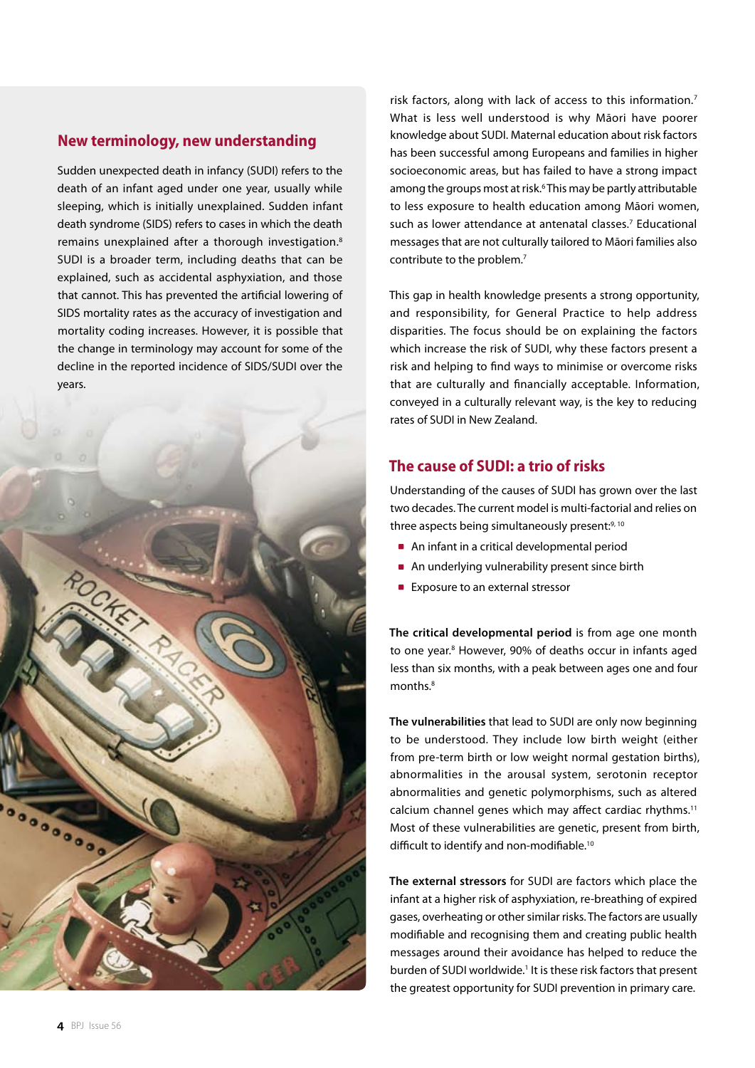# **New terminology, new understanding**

Sudden unexpected death in infancy (SUDI) refers to the death of an infant aged under one year, usually while sleeping, which is initially unexplained. Sudden infant death syndrome (SIDS) refers to cases in which the death remains unexplained after a thorough investigation.<sup>8</sup> SUDI is a broader term, including deaths that can be explained, such as accidental asphyxiation, and those that cannot. This has prevented the artificial lowering of SIDS mortality rates as the accuracy of investigation and mortality coding increases. However, it is possible that the change in terminology may account for some of the decline in the reported incidence of SIDS/SUDI over the years.



risk factors, along with lack of access to this information.<sup>7</sup> What is less well understood is why Māori have poorer knowledge about SUDI. Maternal education about risk factors has been successful among Europeans and families in higher socioeconomic areas, but has failed to have a strong impact among the groups most at risk.<sup>6</sup> This may be partly attributable to less exposure to health education among Māori women, such as lower attendance at antenatal classes.<sup>7</sup> Educational messages that are not culturally tailored to Māori families also contribute to the problem.7

This gap in health knowledge presents a strong opportunity, and responsibility, for General Practice to help address disparities. The focus should be on explaining the factors which increase the risk of SUDI, why these factors present a risk and helping to find ways to minimise or overcome risks that are culturally and financially acceptable. Information, conveyed in a culturally relevant way, is the key to reducing rates of SUDI in New Zealand.

# **The cause of SUDI: a trio of risks**

Understanding of the causes of SUDI has grown over the last two decades. The current model is multi-factorial and relies on three aspects being simultaneously present:<sup>9, 10</sup>

- An infant in a critical developmental period
- An underlying vulnerability present since birth
- **Exposure to an external stressor**

**The critical developmental period** is from age one month to one year.<sup>8</sup> However, 90% of deaths occur in infants aged less than six months, with a peak between ages one and four months.8

**The vulnerabilities** that lead to SUDI are only now beginning to be understood. They include low birth weight (either from pre-term birth or low weight normal gestation births), abnormalities in the arousal system, serotonin receptor abnormalities and genetic polymorphisms, such as altered calcium channel genes which may affect cardiac rhythms.<sup>11</sup> Most of these vulnerabilities are genetic, present from birth, difficult to identify and non-modifiable.<sup>10</sup>

**The external stressors** for SUDI are factors which place the infant at a higher risk of asphyxiation, re-breathing of expired gases, overheating or other similar risks. The factors are usually modifiable and recognising them and creating public health messages around their avoidance has helped to reduce the burden of SUDI worldwide.<sup>1</sup> It is these risk factors that present the greatest opportunity for SUDI prevention in primary care.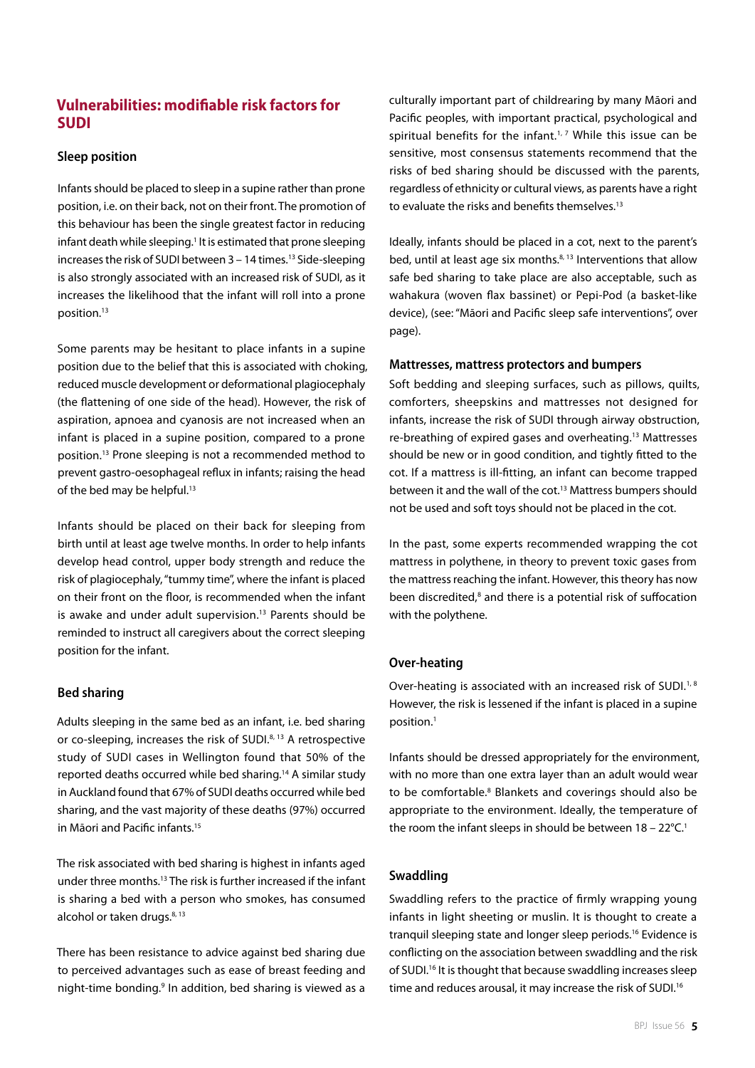# **Vulnerabilities: modifiable risk factors for SUDI**

## **Sleep position**

Infants should be placed to sleep in a supine rather than prone position, i.e. on their back, not on their front. The promotion of this behaviour has been the single greatest factor in reducing infant death while sleeping.<sup>1</sup> It is estimated that prone sleeping increases the risk of SUDI between  $3 - 14$  times.<sup>13</sup> Side-sleeping is also strongly associated with an increased risk of SUDI, as it increases the likelihood that the infant will roll into a prone position.<sup>13</sup>

Some parents may be hesitant to place infants in a supine position due to the belief that this is associated with choking, reduced muscle development or deformational plagiocephaly (the flattening of one side of the head). However, the risk of aspiration, apnoea and cyanosis are not increased when an infant is placed in a supine position, compared to a prone position.13 Prone sleeping is not a recommended method to prevent gastro-oesophageal reflux in infants; raising the head of the bed may be helpful.<sup>13</sup>

Infants should be placed on their back for sleeping from birth until at least age twelve months. In order to help infants develop head control, upper body strength and reduce the risk of plagiocephaly, "tummy time", where the infant is placed on their front on the floor, is recommended when the infant is awake and under adult supervision.<sup>13</sup> Parents should be reminded to instruct all caregivers about the correct sleeping position for the infant.

### **Bed sharing**

Adults sleeping in the same bed as an infant, i.e. bed sharing or co-sleeping, increases the risk of SUDI.<sup>8, 13</sup> A retrospective study of SUDI cases in Wellington found that 50% of the reported deaths occurred while bed sharing.14 A similar study in Auckland found that 67% of SUDI deaths occurred while bed sharing, and the vast majority of these deaths (97%) occurred in Māori and Pacific infants.15

The risk associated with bed sharing is highest in infants aged under three months.13 The risk is further increased if the infant is sharing a bed with a person who smokes, has consumed alcohol or taken drugs.<sup>8, 13</sup>

There has been resistance to advice against bed sharing due to perceived advantages such as ease of breast feeding and night-time bonding.<sup>9</sup> In addition, bed sharing is viewed as a

culturally important part of childrearing by many Māori and Pacific peoples, with important practical, psychological and spiritual benefits for the infant.<sup>1, 7</sup> While this issue can be sensitive, most consensus statements recommend that the risks of bed sharing should be discussed with the parents, regardless of ethnicity or cultural views, as parents have a right to evaluate the risks and benefits themselves.<sup>13</sup>

Ideally, infants should be placed in a cot, next to the parent's bed, until at least age six months. $8,13$  Interventions that allow safe bed sharing to take place are also acceptable, such as wahakura (woven flax bassinet) or Pepi-Pod (a basket-like device), (see: "Māori and Pacific sleep safe interventions", over page).

#### **Mattresses, mattress protectors and bumpers**

Soft bedding and sleeping surfaces, such as pillows, quilts, comforters, sheepskins and mattresses not designed for infants, increase the risk of SUDI through airway obstruction, re-breathing of expired gases and overheating.13 Mattresses should be new or in good condition, and tightly fitted to the cot. If a mattress is ill-fitting, an infant can become trapped between it and the wall of the cot.<sup>13</sup> Mattress bumpers should not be used and soft toys should not be placed in the cot.

In the past, some experts recommended wrapping the cot mattress in polythene, in theory to prevent toxic gases from the mattress reaching the infant. However, this theory has now been discredited,<sup>8</sup> and there is a potential risk of suffocation with the polythene.

### **Over-heating**

Over-heating is associated with an increased risk of SUDI.<sup>1,8</sup> However, the risk is lessened if the infant is placed in a supine position.1

Infants should be dressed appropriately for the environment, with no more than one extra layer than an adult would wear to be comfortable.<sup>8</sup> Blankets and coverings should also be appropriate to the environment. Ideally, the temperature of the room the infant sleeps in should be between  $18 - 22^{\circ}C$ .<sup>1</sup>

## **Swaddling**

Swaddling refers to the practice of firmly wrapping young infants in light sheeting or muslin. It is thought to create a tranquil sleeping state and longer sleep periods.<sup>16</sup> Evidence is conflicting on the association between swaddling and the risk of SUDI.<sup>16</sup> It is thought that because swaddling increases sleep time and reduces arousal, it may increase the risk of SUDI.<sup>16</sup>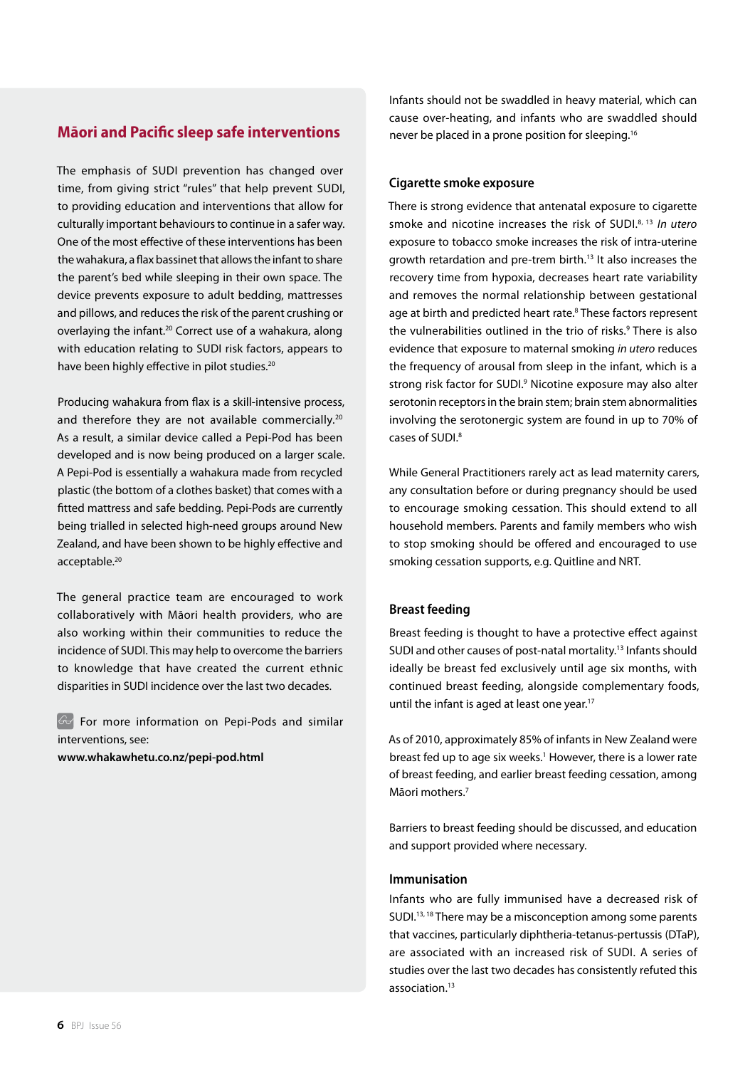# **Māori and Pacific sleep safe interventions**

The emphasis of SUDI prevention has changed over time, from giving strict "rules" that help prevent SUDI, to providing education and interventions that allow for culturally important behaviours to continue in a safer way. One of the most effective of these interventions has been the wahakura, a flax bassinet that allows the infant to share the parent's bed while sleeping in their own space. The device prevents exposure to adult bedding, mattresses and pillows, and reduces the risk of the parent crushing or overlaying the infant.20 Correct use of a wahakura, along with education relating to SUDI risk factors, appears to have been highly effective in pilot studies.<sup>20</sup>

Producing wahakura from flax is a skill-intensive process, and therefore they are not available commercially.<sup>20</sup> As a result, a similar device called a Pepi-Pod has been developed and is now being produced on a larger scale. A Pepi-Pod is essentially a wahakura made from recycled plastic (the bottom of a clothes basket) that comes with a fitted mattress and safe bedding. Pepi-Pods are currently being trialled in selected high-need groups around New Zealand, and have been shown to be highly effective and acceptable.<sup>20</sup>

The general practice team are encouraged to work collaboratively with Māori health providers, who are also working within their communities to reduce the incidence of SUDI. This may help to overcome the barriers to knowledge that have created the current ethnic disparities in SUDI incidence over the last two decades.

For more information on Pepi-Pods and similar interventions, see:

**www.whakawhetu.co.nz/pepi-pod.html** 

Infants should not be swaddled in heavy material, which can cause over-heating, and infants who are swaddled should never be placed in a prone position for sleeping.16

## **Cigarette smoke exposure**

There is strong evidence that antenatal exposure to cigarette smoke and nicotine increases the risk of SUDI.8, 13 *In utero* exposure to tobacco smoke increases the risk of intra-uterine growth retardation and pre-trem birth.13 It also increases the recovery time from hypoxia, decreases heart rate variability and removes the normal relationship between gestational age at birth and predicted heart rate.<sup>8</sup> These factors represent the vulnerabilities outlined in the trio of risks.<sup>9</sup> There is also evidence that exposure to maternal smoking *in utero* reduces the frequency of arousal from sleep in the infant, which is a strong risk factor for SUDI.<sup>9</sup> Nicotine exposure may also alter serotonin receptors in the brain stem; brain stem abnormalities involving the serotonergic system are found in up to 70% of cases of SUDI.8

While General Practitioners rarely act as lead maternity carers, any consultation before or during pregnancy should be used to encourage smoking cessation. This should extend to all household members. Parents and family members who wish to stop smoking should be offered and encouraged to use smoking cessation supports, e.g. Quitline and NRT.

## **Breast feeding**

Breast feeding is thought to have a protective effect against SUDI and other causes of post-natal mortality.<sup>13</sup> Infants should ideally be breast fed exclusively until age six months, with continued breast feeding, alongside complementary foods, until the infant is aged at least one year.<sup>17</sup>

As of 2010, approximately 85% of infants in New Zealand were breast fed up to age six weeks.<sup>1</sup> However, there is a lower rate of breast feeding, and earlier breast feeding cessation, among Māori mothers.7

Barriers to breast feeding should be discussed, and education and support provided where necessary.

### **Immunisation**

Infants who are fully immunised have a decreased risk of SUDI.<sup>13, 18</sup> There may be a misconception among some parents that vaccines, particularly diphtheria-tetanus-pertussis (DTaP), are associated with an increased risk of SUDI. A series of studies over the last two decades has consistently refuted this association.<sup>13</sup>